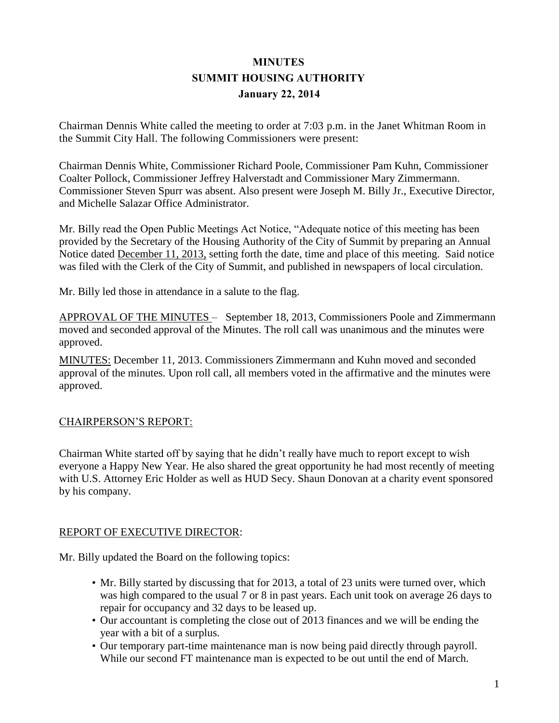# **MINUTES SUMMIT HOUSING AUTHORITY January 22, 2014**

Chairman Dennis White called the meeting to order at 7:03 p.m. in the Janet Whitman Room in the Summit City Hall. The following Commissioners were present:

Chairman Dennis White, Commissioner Richard Poole, Commissioner Pam Kuhn, Commissioner Coalter Pollock, Commissioner Jeffrey Halverstadt and Commissioner Mary Zimmermann. Commissioner Steven Spurr was absent. Also present were Joseph M. Billy Jr., Executive Director, and Michelle Salazar Office Administrator.

Mr. Billy read the Open Public Meetings Act Notice, "Adequate notice of this meeting has been provided by the Secretary of the Housing Authority of the City of Summit by preparing an Annual Notice dated December 11, 2013, setting forth the date, time and place of this meeting. Said notice was filed with the Clerk of the City of Summit, and published in newspapers of local circulation.

Mr. Billy led those in attendance in a salute to the flag.

APPROVAL OF THE MINUTES – September 18, 2013, Commissioners Poole and Zimmermann moved and seconded approval of the Minutes. The roll call was unanimous and the minutes were approved.

MINUTES: December 11, 2013. Commissioners Zimmermann and Kuhn moved and seconded approval of the minutes. Upon roll call, all members voted in the affirmative and the minutes were approved.

## CHAIRPERSON'S REPORT:

Chairman White started off by saying that he didn't really have much to report except to wish everyone a Happy New Year. He also shared the great opportunity he had most recently of meeting with U.S. Attorney Eric Holder as well as HUD Secy. Shaun Donovan at a charity event sponsored by his company.

## REPORT OF EXECUTIVE DIRECTOR:

Mr. Billy updated the Board on the following topics:

- Mr. Billy started by discussing that for 2013, a total of 23 units were turned over, which was high compared to the usual 7 or 8 in past years. Each unit took on average 26 days to repair for occupancy and 32 days to be leased up.
- Our accountant is completing the close out of 2013 finances and we will be ending the year with a bit of a surplus.
- Our temporary part-time maintenance man is now being paid directly through payroll. While our second FT maintenance man is expected to be out until the end of March.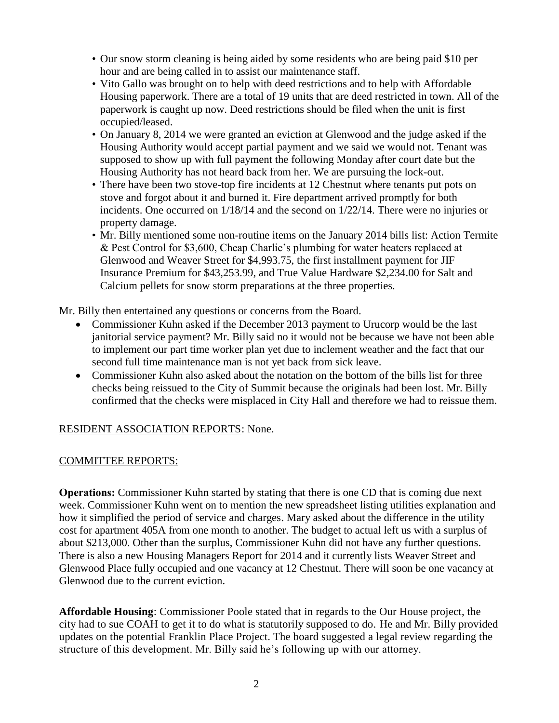- Our snow storm cleaning is being aided by some residents who are being paid \$10 per hour and are being called in to assist our maintenance staff.
- Vito Gallo was brought on to help with deed restrictions and to help with Affordable Housing paperwork. There are a total of 19 units that are deed restricted in town. All of the paperwork is caught up now. Deed restrictions should be filed when the unit is first occupied/leased.
- On January 8, 2014 we were granted an eviction at Glenwood and the judge asked if the Housing Authority would accept partial payment and we said we would not. Tenant was supposed to show up with full payment the following Monday after court date but the Housing Authority has not heard back from her. We are pursuing the lock-out.
- There have been two stove-top fire incidents at 12 Chestnut where tenants put pots on stove and forgot about it and burned it. Fire department arrived promptly for both incidents. One occurred on 1/18/14 and the second on 1/22/14. There were no injuries or property damage.
- Mr. Billy mentioned some non-routine items on the January 2014 bills list: Action Termite & Pest Control for \$3,600, Cheap Charlie's plumbing for water heaters replaced at Glenwood and Weaver Street for \$4,993.75, the first installment payment for JIF Insurance Premium for \$43,253.99, and True Value Hardware \$2,234.00 for Salt and Calcium pellets for snow storm preparations at the three properties.

Mr. Billy then entertained any questions or concerns from the Board.

- Commissioner Kuhn asked if the December 2013 payment to Urucorp would be the last janitorial service payment? Mr. Billy said no it would not be because we have not been able to implement our part time worker plan yet due to inclement weather and the fact that our second full time maintenance man is not yet back from sick leave.
- Commissioner Kuhn also asked about the notation on the bottom of the bills list for three checks being reissued to the City of Summit because the originals had been lost. Mr. Billy confirmed that the checks were misplaced in City Hall and therefore we had to reissue them.

# RESIDENT ASSOCIATION REPORTS: None.

## COMMITTEE REPORTS:

**Operations:** Commissioner Kuhn started by stating that there is one CD that is coming due next week. Commissioner Kuhn went on to mention the new spreadsheet listing utilities explanation and how it simplified the period of service and charges. Mary asked about the difference in the utility cost for apartment 405A from one month to another. The budget to actual left us with a surplus of about \$213,000. Other than the surplus, Commissioner Kuhn did not have any further questions. There is also a new Housing Managers Report for 2014 and it currently lists Weaver Street and Glenwood Place fully occupied and one vacancy at 12 Chestnut. There will soon be one vacancy at Glenwood due to the current eviction.

**Affordable Housing**: Commissioner Poole stated that in regards to the Our House project, the city had to sue COAH to get it to do what is statutorily supposed to do. He and Mr. Billy provided updates on the potential Franklin Place Project. The board suggested a legal review regarding the structure of this development. Mr. Billy said he's following up with our attorney.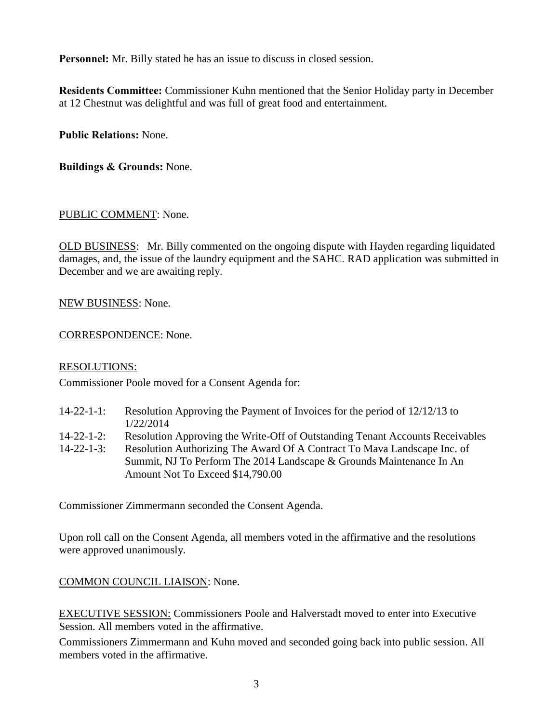**Personnel:** Mr. Billy stated he has an issue to discuss in closed session.

**Residents Committee:** Commissioner Kuhn mentioned that the Senior Holiday party in December at 12 Chestnut was delightful and was full of great food and entertainment.

**Public Relations:** None.

**Buildings & Grounds:** None.

#### PUBLIC COMMENT: None.

OLD BUSINESS: Mr. Billy commented on the ongoing dispute with Hayden regarding liquidated damages, and, the issue of the laundry equipment and the SAHC. RAD application was submitted in December and we are awaiting reply.

NEW BUSINESS: None.

CORRESPONDENCE: None.

#### RESOLUTIONS:

Commissioner Poole moved for a Consent Agenda for:

- 14-22-1-1: Resolution Approving the Payment of Invoices for the period of 12/12/13 to 1/22/2014
- 14-22-1-2: Resolution Approving the Write-Off of Outstanding Tenant Accounts Receivables
- 14-22-1-3: Resolution Authorizing The Award Of A Contract To Mava Landscape Inc. of Summit, NJ To Perform The 2014 Landscape & Grounds Maintenance In An Amount Not To Exceed \$14,790.00

Commissioner Zimmermann seconded the Consent Agenda.

Upon roll call on the Consent Agenda, all members voted in the affirmative and the resolutions were approved unanimously.

## COMMON COUNCIL LIAISON: None.

EXECUTIVE SESSION: Commissioners Poole and Halverstadt moved to enter into Executive Session. All members voted in the affirmative.

Commissioners Zimmermann and Kuhn moved and seconded going back into public session. All members voted in the affirmative.